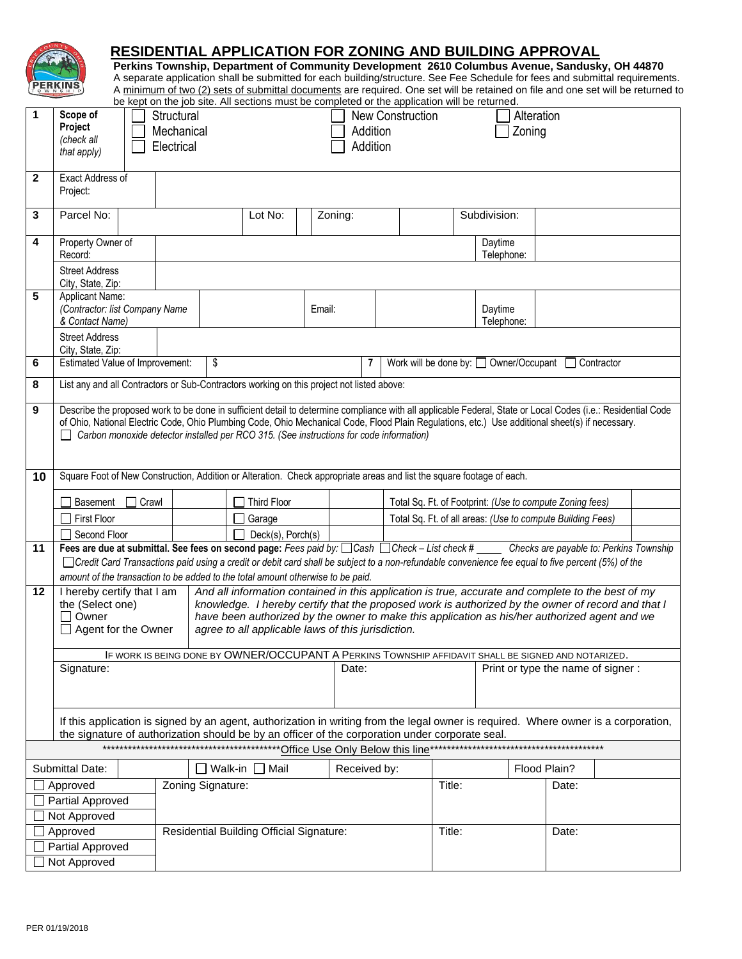|                                       |                                                                                                                                                                                                                                                                                                                                                                                                                    |                                                                                                                                                                                                                                                                                                                                                                                                                             |                                          | be kept on the job site. All sections must be completed or the application will be returned. |              |         |                                                          |                                                    | <b>RESIDENTIAL APPLICATION FOR ZONING AND BUILDING APPROVAL</b><br>Perkins Township, Department of Community Development 2610 Columbus Avenue, Sandusky, OH 44870 |       | A separate application shall be submitted for each building/structure. See Fee Schedule for fees and submittal requirements.<br>A minimum of two (2) sets of submittal documents are required. One set will be retained on file and one set will be returned to |  |
|---------------------------------------|--------------------------------------------------------------------------------------------------------------------------------------------------------------------------------------------------------------------------------------------------------------------------------------------------------------------------------------------------------------------------------------------------------------------|-----------------------------------------------------------------------------------------------------------------------------------------------------------------------------------------------------------------------------------------------------------------------------------------------------------------------------------------------------------------------------------------------------------------------------|------------------------------------------|----------------------------------------------------------------------------------------------|--------------|---------|----------------------------------------------------------|----------------------------------------------------|-------------------------------------------------------------------------------------------------------------------------------------------------------------------|-------|-----------------------------------------------------------------------------------------------------------------------------------------------------------------------------------------------------------------------------------------------------------------|--|
|                                       | Scope of<br>Alteration<br>Structural<br><b>New Construction</b><br>Project<br>Addition<br>Zoning<br>Mechanical<br>(check all<br>Addition<br>Electrical<br>that apply)                                                                                                                                                                                                                                              |                                                                                                                                                                                                                                                                                                                                                                                                                             |                                          |                                                                                              |              |         |                                                          |                                                    |                                                                                                                                                                   |       |                                                                                                                                                                                                                                                                 |  |
| $\mathbf{2}$                          | Exact Address of<br>Project:                                                                                                                                                                                                                                                                                                                                                                                       |                                                                                                                                                                                                                                                                                                                                                                                                                             |                                          |                                                                                              |              |         |                                                          |                                                    |                                                                                                                                                                   |       |                                                                                                                                                                                                                                                                 |  |
| 3                                     | Parcel No:                                                                                                                                                                                                                                                                                                                                                                                                         |                                                                                                                                                                                                                                                                                                                                                                                                                             |                                          | Lot No:                                                                                      |              | Zoning: |                                                          |                                                    | Subdivision:                                                                                                                                                      |       |                                                                                                                                                                                                                                                                 |  |
| 4                                     | Property Owner of<br>Record:                                                                                                                                                                                                                                                                                                                                                                                       |                                                                                                                                                                                                                                                                                                                                                                                                                             |                                          |                                                                                              |              |         |                                                          |                                                    | Daytime<br>Telephone:                                                                                                                                             |       |                                                                                                                                                                                                                                                                 |  |
|                                       | <b>Street Address</b><br>City, State, Zip:                                                                                                                                                                                                                                                                                                                                                                         |                                                                                                                                                                                                                                                                                                                                                                                                                             |                                          |                                                                                              |              |         |                                                          |                                                    |                                                                                                                                                                   |       |                                                                                                                                                                                                                                                                 |  |
| 5                                     | Applicant Name:<br>(Contractor: list Company Name<br>& Contact Name)                                                                                                                                                                                                                                                                                                                                               |                                                                                                                                                                                                                                                                                                                                                                                                                             |                                          |                                                                                              |              | Email:  |                                                          |                                                    | Daytime<br>Telephone:                                                                                                                                             |       |                                                                                                                                                                                                                                                                 |  |
|                                       | <b>Street Address</b><br>City, State, Zip:                                                                                                                                                                                                                                                                                                                                                                         |                                                                                                                                                                                                                                                                                                                                                                                                                             |                                          |                                                                                              |              |         |                                                          |                                                    |                                                                                                                                                                   |       |                                                                                                                                                                                                                                                                 |  |
| 6                                     | <b>Estimated Value of Improvement:</b>                                                                                                                                                                                                                                                                                                                                                                             |                                                                                                                                                                                                                                                                                                                                                                                                                             | \$                                       |                                                                                              |              | 7       |                                                          | Work will be done by: Owner/Occupant<br>Contractor |                                                                                                                                                                   |       |                                                                                                                                                                                                                                                                 |  |
| 8                                     | List any and all Contractors or Sub-Contractors working on this project not listed above:                                                                                                                                                                                                                                                                                                                          |                                                                                                                                                                                                                                                                                                                                                                                                                             |                                          |                                                                                              |              |         |                                                          |                                                    |                                                                                                                                                                   |       |                                                                                                                                                                                                                                                                 |  |
| 9                                     | Describe the proposed work to be done in sufficient detail to determine compliance with all applicable Federal, State or Local Codes (i.e.: Residential Code<br>of Ohio, National Electric Code, Ohio Plumbing Code, Ohio Mechanical Code, Flood Plain Regulations, etc.) Use additional sheet(s) if necessary.<br>$\Box$ Carbon monoxide detector installed per RCO 315. (See instructions for code information)  |                                                                                                                                                                                                                                                                                                                                                                                                                             |                                          |                                                                                              |              |         |                                                          |                                                    |                                                                                                                                                                   |       |                                                                                                                                                                                                                                                                 |  |
| 10                                    | Square Foot of New Construction, Addition or Alteration. Check appropriate areas and list the square footage of each.                                                                                                                                                                                                                                                                                              |                                                                                                                                                                                                                                                                                                                                                                                                                             |                                          |                                                                                              |              |         |                                                          |                                                    |                                                                                                                                                                   |       |                                                                                                                                                                                                                                                                 |  |
|                                       | <b>Basement</b><br>Crawl                                                                                                                                                                                                                                                                                                                                                                                           |                                                                                                                                                                                                                                                                                                                                                                                                                             |                                          | <b>Third Floor</b>                                                                           |              |         | Total Sq. Ft. of Footprint: (Use to compute Zoning fees) |                                                    |                                                                                                                                                                   |       |                                                                                                                                                                                                                                                                 |  |
|                                       | <b>First Floor</b>                                                                                                                                                                                                                                                                                                                                                                                                 |                                                                                                                                                                                                                                                                                                                                                                                                                             |                                          | Garage                                                                                       |              |         |                                                          |                                                    | Total Sq. Ft. of all areas: (Use to compute Building Fees)                                                                                                        |       |                                                                                                                                                                                                                                                                 |  |
| 11                                    | Second Floor<br>Deck(s), Porch(s)<br>Fees are due at submittal. See fees on second page: Fees paid by: Cash Check - List check # Checks are payable to: Perkins Township<br>□ Credit Card Transactions paid using a credit or debit card shall be subject to a non-refundable convenience fee equal to five percent (5%) of the<br>amount of the transaction to be added to the total amount otherwise to be paid. |                                                                                                                                                                                                                                                                                                                                                                                                                             |                                          |                                                                                              |              |         |                                                          |                                                    |                                                                                                                                                                   |       |                                                                                                                                                                                                                                                                 |  |
| 12                                    | the (Select one)<br>Owner<br>$\perp$                                                                                                                                                                                                                                                                                                                                                                               | I hereby certify that I am<br>And all information contained in this application is true, accurate and complete to the best of my<br>knowledge. I hereby certify that the proposed work is authorized by the owner of record and that I<br>have been authorized by the owner to make this application as his/her authorized agent and we<br>$\Box$ Agent for the Owner<br>agree to all applicable laws of this jurisdiction. |                                          |                                                                                              |              |         |                                                          |                                                    |                                                                                                                                                                   |       |                                                                                                                                                                                                                                                                 |  |
|                                       | IF WORK IS BEING DONE BY OWNER/OCCUPANT A PERKINS TOWNSHIP AFFIDAVIT SHALL BE SIGNED AND NOTARIZED.<br>Signature:                                                                                                                                                                                                                                                                                                  |                                                                                                                                                                                                                                                                                                                                                                                                                             |                                          |                                                                                              |              | Date:   |                                                          |                                                    | Print or type the name of signer:                                                                                                                                 |       |                                                                                                                                                                                                                                                                 |  |
|                                       | If this application is signed by an agent, authorization in writing from the legal owner is required. Where owner is a corporation,<br>the signature of authorization should be by an officer of the corporation under corporate seal.                                                                                                                                                                             |                                                                                                                                                                                                                                                                                                                                                                                                                             |                                          |                                                                                              |              |         |                                                          |                                                    |                                                                                                                                                                   |       |                                                                                                                                                                                                                                                                 |  |
| ************************************* |                                                                                                                                                                                                                                                                                                                                                                                                                    |                                                                                                                                                                                                                                                                                                                                                                                                                             |                                          |                                                                                              |              |         |                                                          |                                                    |                                                                                                                                                                   |       |                                                                                                                                                                                                                                                                 |  |
|                                       | $\square$ Walk-in $\square$ Mail<br>Submittal Date:<br>Zoning Signature:<br>Approved                                                                                                                                                                                                                                                                                                                               |                                                                                                                                                                                                                                                                                                                                                                                                                             |                                          |                                                                                              | Received by: |         | Title:                                                   | Flood Plain?                                       |                                                                                                                                                                   |       |                                                                                                                                                                                                                                                                 |  |
|                                       | Partial Approved<br>Not Approved                                                                                                                                                                                                                                                                                                                                                                                   |                                                                                                                                                                                                                                                                                                                                                                                                                             |                                          |                                                                                              |              |         |                                                          |                                                    |                                                                                                                                                                   | Date: |                                                                                                                                                                                                                                                                 |  |
|                                       | Approved                                                                                                                                                                                                                                                                                                                                                                                                           |                                                                                                                                                                                                                                                                                                                                                                                                                             | Residential Building Official Signature: |                                                                                              |              |         |                                                          | Title:                                             |                                                                                                                                                                   | Date: |                                                                                                                                                                                                                                                                 |  |
| Partial Approved                      |                                                                                                                                                                                                                                                                                                                                                                                                                    |                                                                                                                                                                                                                                                                                                                                                                                                                             |                                          |                                                                                              |              |         |                                                          |                                                    |                                                                                                                                                                   |       |                                                                                                                                                                                                                                                                 |  |
| Not Approved                          |                                                                                                                                                                                                                                                                                                                                                                                                                    |                                                                                                                                                                                                                                                                                                                                                                                                                             |                                          |                                                                                              |              |         |                                                          |                                                    |                                                                                                                                                                   |       |                                                                                                                                                                                                                                                                 |  |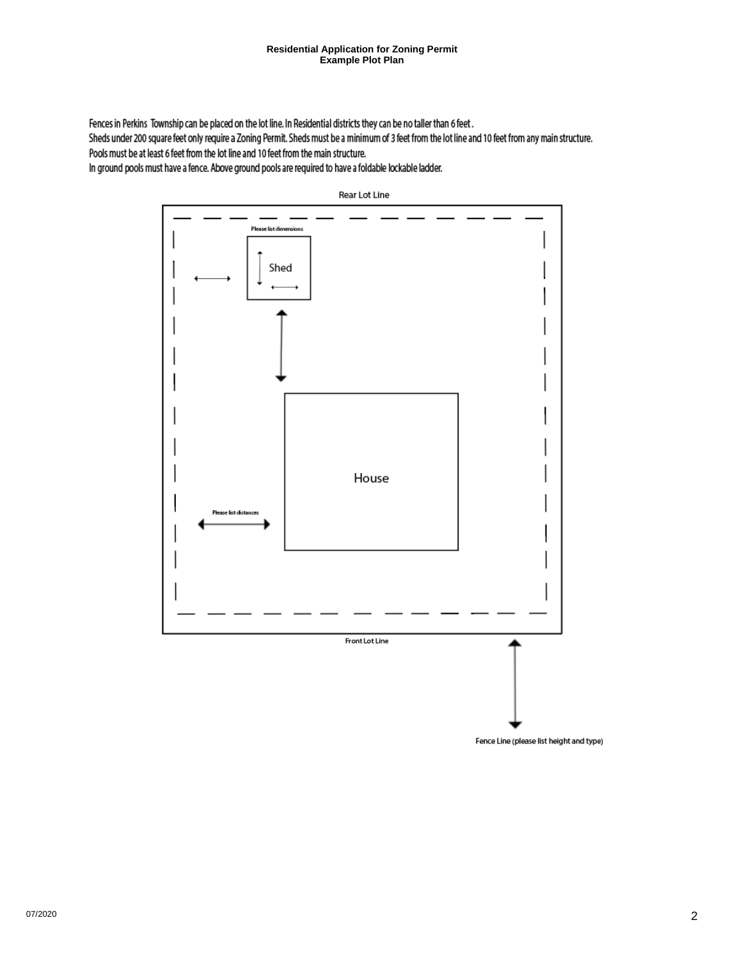#### **Residential Application for Zoning Permit Example Plot Plan**

Fences in Perkins Township can be placed on the lot line. In Residential districts they can be no taller than 6 feet.

Sheds under 200 square feet only require a Zoning Permit. Sheds must be a minimum of 3 feet from the lot line and 10 feet from any main structure. Pools must be at least 6 feet from the lot line and 10 feet from the main structure.

In ground pools must have a fence. Above ground pools are required to have a foldable lockable ladder.



Rear Lot Line

Fence Line (please list height and type)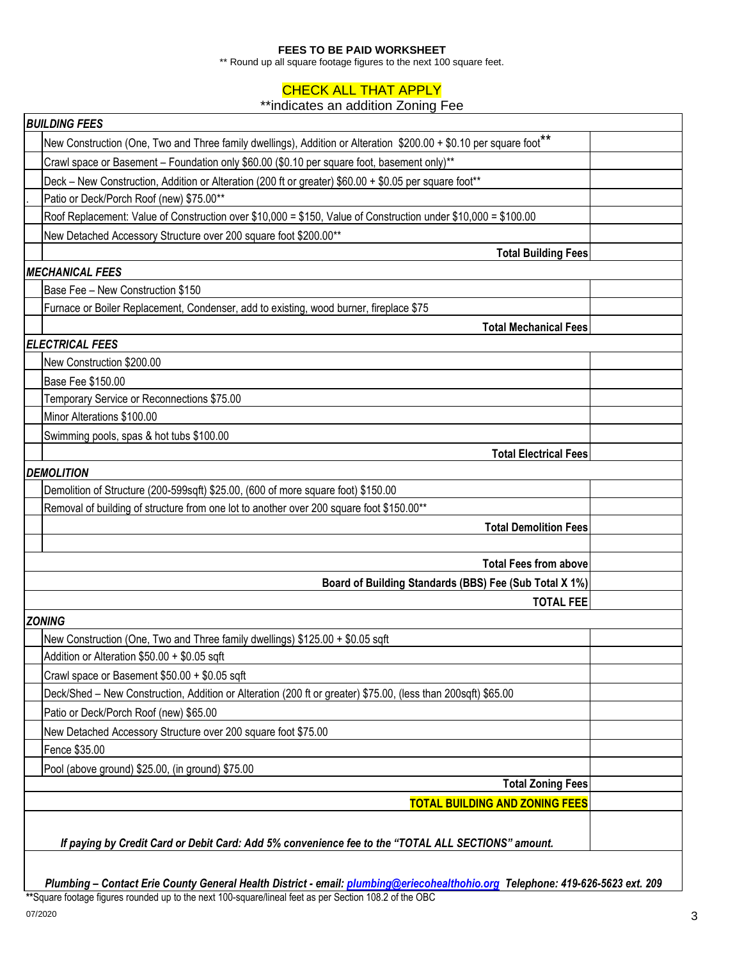#### **FEES TO BE PAID WORKSHEET**

\*\* Round up all square footage figures to the next 100 square feet.

# **CHECK ALL THAT APPLY**

## \*\*indicates an addition Zoning Fee

| <b>BUILDING FEES</b>                                                                                               |  |  |  |  |  |  |
|--------------------------------------------------------------------------------------------------------------------|--|--|--|--|--|--|
| New Construction (One, Two and Three family dwellings), Addition or Alteration \$200.00 + \$0.10 per square foot** |  |  |  |  |  |  |
| Crawl space or Basement - Foundation only \$60.00 (\$0.10 per square foot, basement only)**                        |  |  |  |  |  |  |
| Deck - New Construction, Addition or Alteration (200 ft or greater) \$60.00 + \$0.05 per square foot**             |  |  |  |  |  |  |
| Patio or Deck/Porch Roof (new) \$75.00**                                                                           |  |  |  |  |  |  |
| Roof Replacement: Value of Construction over \$10,000 = \$150, Value of Construction under \$10,000 = \$100.00     |  |  |  |  |  |  |
| New Detached Accessory Structure over 200 square foot \$200.00**                                                   |  |  |  |  |  |  |
| <b>Total Building Fees</b>                                                                                         |  |  |  |  |  |  |
| MECHANICAL FEES                                                                                                    |  |  |  |  |  |  |
| Base Fee - New Construction \$150                                                                                  |  |  |  |  |  |  |
| Furnace or Boiler Replacement, Condenser, add to existing, wood burner, fireplace \$75                             |  |  |  |  |  |  |
| <b>Total Mechanical Fees</b>                                                                                       |  |  |  |  |  |  |
| <b>ELECTRICAL FEES</b>                                                                                             |  |  |  |  |  |  |
| New Construction \$200.00                                                                                          |  |  |  |  |  |  |
| Base Fee \$150.00                                                                                                  |  |  |  |  |  |  |
| Temporary Service or Reconnections \$75.00                                                                         |  |  |  |  |  |  |
| Minor Alterations \$100.00                                                                                         |  |  |  |  |  |  |
| Swimming pools, spas & hot tubs \$100.00                                                                           |  |  |  |  |  |  |
| <b>Total Electrical Fees</b>                                                                                       |  |  |  |  |  |  |
| <b>DEMOLITION</b>                                                                                                  |  |  |  |  |  |  |
| Demolition of Structure (200-599sqft) \$25.00, (600 of more square foot) \$150.00                                  |  |  |  |  |  |  |
| Removal of building of structure from one lot to another over 200 square foot \$150.00**                           |  |  |  |  |  |  |
| <b>Total Demolition Fees</b>                                                                                       |  |  |  |  |  |  |
|                                                                                                                    |  |  |  |  |  |  |
| <b>Total Fees from above</b>                                                                                       |  |  |  |  |  |  |
| Board of Building Standards (BBS) Fee (Sub Total X 1%)                                                             |  |  |  |  |  |  |
| <b>TOTAL FEE</b>                                                                                                   |  |  |  |  |  |  |
| <b>ZONING</b>                                                                                                      |  |  |  |  |  |  |
| New Construction (One, Two and Three family dwellings) \$125.00 + \$0.05 sqft                                      |  |  |  |  |  |  |
| Addition or Alteration \$50.00 + \$0.05 sqft                                                                       |  |  |  |  |  |  |
| Crawl space or Basement \$50.00 + \$0.05 sqft                                                                      |  |  |  |  |  |  |
| Deck/Shed - New Construction, Addition or Alteration (200 ft or greater) \$75.00, (less than 200sqft) \$65.00      |  |  |  |  |  |  |
| Patio or Deck/Porch Roof (new) \$65.00                                                                             |  |  |  |  |  |  |
| New Detached Accessory Structure over 200 square foot \$75.00                                                      |  |  |  |  |  |  |
| Fence \$35.00                                                                                                      |  |  |  |  |  |  |
| Pool (above ground) \$25.00, (in ground) \$75.00                                                                   |  |  |  |  |  |  |
| <b>Total Zoning Fees</b>                                                                                           |  |  |  |  |  |  |
| <b>TOTAL BUILDING AND ZONING FEES</b>                                                                              |  |  |  |  |  |  |
|                                                                                                                    |  |  |  |  |  |  |
| If paying by Credit Card or Debit Card: Add 5% convenience fee to the "TOTAL ALL SECTIONS" amount.                 |  |  |  |  |  |  |
|                                                                                                                    |  |  |  |  |  |  |

*Plumbing – Contact Erie County General Health District - email: [plumbing@eriecohealthohio.org](mailto:plumbing@eriecohealthohio.org) Telephone: 419-626-5623 ext. 209* **\*\***Square footage figures rounded up to the next 100-square/lineal feet as per Section 108.2 of the OBC